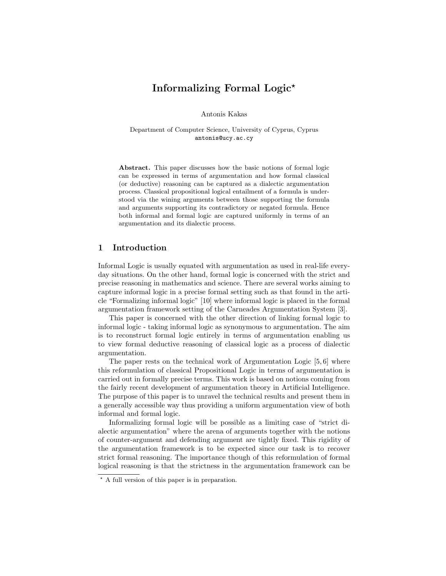# Informalizing Formal Logic?

Antonis Kakas

Department of Computer Science, University of Cyprus, Cyprus antonis@ucy.ac.cy

Abstract. This paper discusses how the basic notions of formal logic can be expressed in terms of argumentation and how formal classical (or deductive) reasoning can be captured as a dialectic argumentation process. Classical propositional logical entailment of a formula is understood via the wining arguments between those supporting the formula and arguments supporting its contradictory or negated formula. Hence both informal and formal logic are captured uniformly in terms of an argumentation and its dialectic process.

### 1 Introduction

Informal Logic is usually equated with argumentation as used in real-life everyday situations. On the other hand, formal logic is concerned with the strict and precise reasoning in mathematics and science. There are several works aiming to capture informal logic in a precise formal setting such as that found in the article "Formalizing informal logic" [10] where informal logic is placed in the formal argumentation framework setting of the Carneades Argumentation System [3].

This paper is concerned with the other direction of linking formal logic to informal logic - taking informal logic as synonymous to argumentation. The aim is to reconstruct formal logic entirely in terms of argumentation enabling us to view formal deductive reasoning of classical logic as a process of dialectic argumentation.

The paper rests on the technical work of Argumentation Logic [5, 6] where this reformulation of classical Propositional Logic in terms of argumentation is carried out in formally precise terms. This work is based on notions coming from the fairly recent development of argumentation theory in Artificial Intelligence. The purpose of this paper is to unravel the technical results and present them in a generally accessible way thus providing a uniform argumentation view of both informal and formal logic.

Informalizing formal logic will be possible as a limiting case of "strict dialectic argumentation" where the arena of arguments together with the notions of counter-argument and defending argument are tightly fixed. This rigidity of the argumentation framework is to be expected since our task is to recover strict formal reasoning. The importance though of this reformulation of formal logical reasoning is that the strictness in the argumentation framework can be

<sup>?</sup> A full version of this paper is in preparation.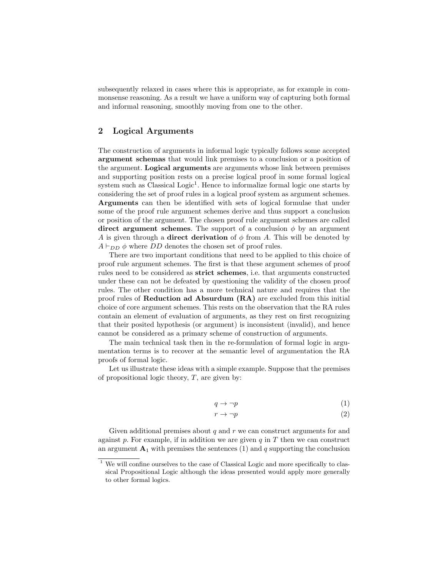subsequently relaxed in cases where this is appropriate, as for example in commonsense reasoning. As a result we have a uniform way of capturing both formal and informal reasoning, smoothly moving from one to the other.

# 2 Logical Arguments

The construction of arguments in informal logic typically follows some accepted argument schemas that would link premises to a conclusion or a position of the argument. Logical arguments are arguments whose link between premises and supporting position rests on a precise logical proof in some formal logical system such as Classical Logic<sup>1</sup>. Hence to informalize formal logic one starts by considering the set of proof rules in a logical proof system as argument schemes. Arguments can then be identified with sets of logical formulae that under some of the proof rule argument schemes derive and thus support a conclusion or position of the argument. The chosen proof rule argument schemes are called direct argument schemes. The support of a conclusion  $\phi$  by an argument A is given through a **direct derivation** of  $\phi$  from A. This will be denoted by  $A \vdash_{DD} \phi$  where DD denotes the chosen set of proof rules.

There are two important conditions that need to be applied to this choice of proof rule argument schemes. The first is that these argument schemes of proof rules need to be considered as strict schemes, i.e. that arguments constructed under these can not be defeated by questioning the validity of the chosen proof rules. The other condition has a more technical nature and requires that the proof rules of Reduction ad Absurdum (RA) are excluded from this initial choice of core argument schemes. This rests on the observation that the RA rules contain an element of evaluation of arguments, as they rest on first recognizing that their posited hypothesis (or argument) is inconsistent (invalid), and hence cannot be considered as a primary scheme of construction of arguments.

The main technical task then in the re-formulation of formal logic in argumentation terms is to recover at the semantic level of argumentation the RA proofs of formal logic.

Let us illustrate these ideas with a simple example. Suppose that the premises of propositional logic theory,  $T$ , are given by:

$$
q \to \neg p \tag{1}
$$

$$
r \to \neg p \tag{2}
$$

Given additional premises about  $q$  and  $r$  we can construct arguments for and against  $p$ . For example, if in addition we are given  $q$  in  $T$  then we can construct an argument  $\mathbf{A}_1$  with premises the sentences (1) and q supporting the conclusion

 $^{\rm 1}$  We will confine ourselves to the case of Classical Logic and more specifically to classical Propositional Logic although the ideas presented would apply more generally to other formal logics.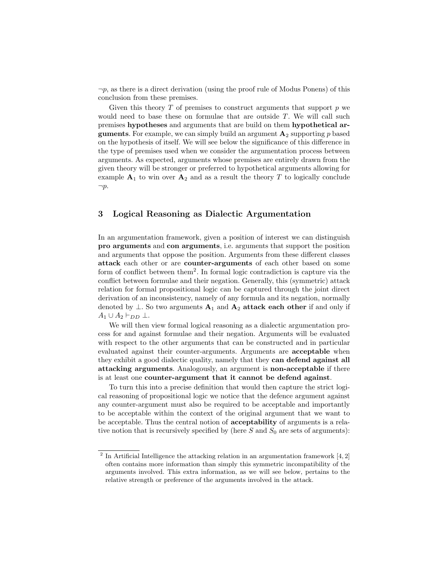$\neg p$ , as there is a direct derivation (using the proof rule of Modus Ponens) of this conclusion from these premises.

Given this theory  $T$  of premises to construct arguments that support  $p$  we would need to base these on formulae that are outside T. We will call such premises hypotheses and arguments that are build on them hypothetical ar**guments**. For example, we can simply build an argument  $\mathbf{A}_2$  supporting p based on the hypothesis of itself. We will see below the significance of this difference in the type of premises used when we consider the argumentation process between arguments. As expected, arguments whose premises are entirely drawn from the given theory will be stronger or preferred to hypothetical arguments allowing for example  $A_1$  to win over  $A_2$  and as a result the theory T to logically conclude  $\neg p$ .

#### 3 Logical Reasoning as Dialectic Argumentation

In an argumentation framework, given a position of interest we can distinguish pro arguments and con arguments, i.e. arguments that support the position and arguments that oppose the position. Arguments from these different classes attack each other or are counter-arguments of each other based on some form of conflict between them<sup>2</sup> . In formal logic contradiction is capture via the conflict between formulae and their negation. Generally, this (symmetric) attack relation for formal propositional logic can be captured through the joint direct derivation of an inconsistency, namely of any formula and its negation, normally denoted by  $\perp$ . So two arguments  $A_1$  and  $A_2$  attack each other if and only if  $A_1 \cup A_2 \vdash_{DD} \bot$ .

We will then view formal logical reasoning as a dialectic argumentation process for and against formulae and their negation. Arguments will be evaluated with respect to the other arguments that can be constructed and in particular evaluated against their counter-arguments. Arguments are acceptable when they exhibit a good dialectic quality, namely that they can defend against all attacking arguments. Analogously, an argument is non-acceptable if there is at least one counter-argument that it cannot be defend against.

To turn this into a precise definition that would then capture the strict logical reasoning of propositional logic we notice that the defence argument against any counter-argument must also be required to be acceptable and importantly to be acceptable within the context of the original argument that we want to be acceptable. Thus the central notion of acceptability of arguments is a relative notion that is recursively specified by (here  $S$  and  $S_0$  are sets of arguments):

<sup>&</sup>lt;sup>2</sup> In Artificial Intelligence the attacking relation in an argumentation framework  $[4, 2]$ often contains more information than simply this symmetric incompatibility of the arguments involved. This extra information, as we will see below, pertains to the relative strength or preference of the arguments involved in the attack.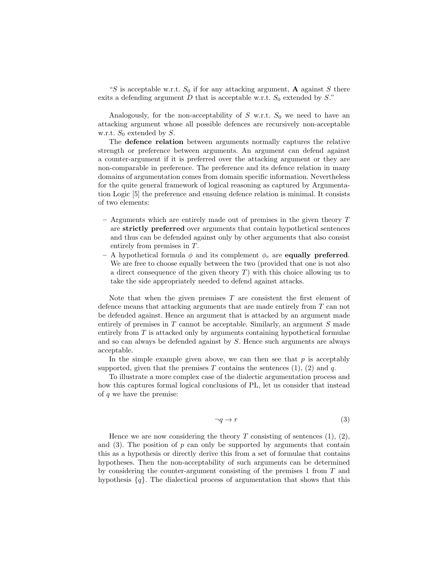"S is acceptable w.r.t.  $S_0$  if for any attacking argument, **A** against S there exits a defending argument D that is acceptable w.r.t.  $S_0$  extended by S."

Analogously, for the non-acceptability of  $S$  w.r.t.  $S_0$  we need to have an attacking argument whose all possible defences are recursively non-acceptable w.r.t.  $S_0$  extended by S.

The defence relation between arguments normally captures the relative strength or preference between arguments. An argument can defend against a counter-argument if it is preferred over the attacking argument or they are non-comparable in preference. The preference and its defence relation in many domains of argumentation comes from domain specific information. Nevertheless for the quite general framework of logical reasoning as captured by Argumentation Logic [5] the preference and ensuing defence relation is minimal. It consists of two elements:

- $-$  Arguments which are entirely made out of premises in the given theory  $T$ are strictly preferred over arguments that contain hypothetical sentences and thus can be defended against only by other arguments that also consist entirely from premises in T.
- A hypothetical formula  $\phi$  and its complement  $\phi_c$  are **equally preferred**. We are free to choose equally between the two (provided that one is not also a direct consequence of the given theory  $T$ ) with this choice allowing us to take the side appropriately needed to defend against attacks.

Note that when the given premises  $T$  are consistent the first element of defence means that attacking arguments that are made entirely from T can not be defended against. Hence an argument that is attacked by an argument made entirely of premises in  $T$  cannot be acceptable. Similarly, an argument  $S$  made entirely from  $T$  is attacked only by arguments containing hypothetical formulae and so can always be defended against by S. Hence such arguments are always acceptable.

In the simple example given above, we can then see that  $p$  is acceptably supported, given that the premises T contains the sentences  $(1)$ ,  $(2)$  and q.

To illustrate a more complex case of the dialectic argumentation process and how this captures formal logical conclusions of PL, let us consider that instead of  $q$  we have the premise:

$$
\neg q \to r \tag{3}
$$

Hence we are now considering the theory  $T$  consisting of sentences  $(1), (2),$ and (3). The position of p can only be supported by arguments that contain this as a hypothesis or directly derive this from a set of formulae that contains hypotheses. Then the non-acceptability of such arguments can be determined by considering the counter-argument consisting of the premises 1 from T and hypothesis  ${q}$ . The dialectical process of argumentation that shows that this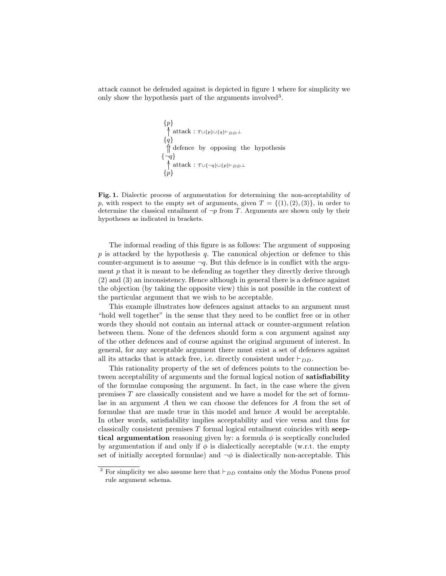attack cannot be defended against is depicted in figure 1 where for simplicity we only show the hypothesis part of the arguments involved<sup>3</sup>.

$$
{p}
$$
\n
$$
\uparrow \text{attack}: \tau \cup \{p\} \cup \{q\} \vdash_{DD} \bot
$$
\n
$$
{q}
$$
\n
$$
\uparrow \text{defence by opposing the hypothesis}
$$
\n
$$
{\neg q}
$$
\n
$$
\uparrow \text{attack}: \tau \cup {\neg q} \cup {p} \vdash_{DD} \bot
$$
\n
$$
{p}
$$

Fig. 1. Dialectic process of argumentation for determining the non-acceptability of p, with respect to the empty set of arguments, given  $T = \{(1), (2), (3)\}\)$ , in order to determine the classical entailment of  $\neg p$  from T. Arguments are shown only by their hypotheses as indicated in brackets.

The informal reading of this figure is as follows: The argument of supposing  $p$  is attacked by the hypothesis  $q$ . The canonical objection or defence to this counter-argument is to assume  $\neg q$ . But this defence is in conflict with the argument  $p$  that it is meant to be defending as together they directly derive through (2) and (3) an inconsistency. Hence although in general there is a defence against the objection (by taking the opposite view) this is not possible in the context of the particular argument that we wish to be acceptable.

This example illustrates how defences against attacks to an argument must "hold well together" in the sense that they need to be conflict free or in other words they should not contain an internal attack or counter-argument relation between them. None of the defences should form a con argument against any of the other defences and of course against the original argument of interest. In general, for any acceptable argument there must exist a set of defences against all its attacks that is attack free, i.e. directly consistent under  $\vdash_{DD}$ .

This rationality property of the set of defences points to the connection between acceptability of arguments and the formal logical notion of satisfiability of the formulae composing the argument. In fact, in the case where the given premises T are classically consistent and we have a model for the set of formulae in an argument A then we can choose the defences for A from the set of formulae that are made true in this model and hence A would be acceptable. In other words, satisfiability implies acceptability and vice versa and thus for classically consistent premises  $T$  formal logical entailment coincides with sceptical argumentation reasoning given by: a formula  $\phi$  is sceptically concluded by argumentation if and only if  $\phi$  is dialectically acceptable (w.r.t. the empty set of initially accepted formulae) and  $\neg \phi$  is dialectically non-acceptable. This

<sup>&</sup>lt;sup>3</sup> For simplicity we also assume here that  $\vdash_{DD}$  contains only the Modus Ponens proof rule argument schema.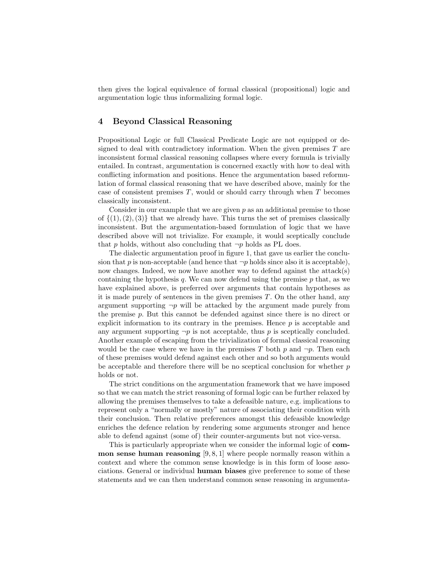then gives the logical equivalence of formal classical (propositional) logic and argumentation logic thus informalizing formal logic.

# 4 Beyond Classical Reasoning

Propositional Logic or full Classical Predicate Logic are not equipped or designed to deal with contradictory information. When the given premises  $T$  are inconsistent formal classical reasoning collapses where every formula is trivially entailed. In contrast, argumentation is concerned exactly with how to deal with conflicting information and positions. Hence the argumentation based reformulation of formal classical reasoning that we have described above, mainly for the case of consistent premises  $T$ , would or should carry through when  $T$  becomes classically inconsistent.

Consider in our example that we are given  $p$  as an additional premise to those of  $\{(1),(2),(3)\}$  that we already have. This turns the set of premises classically inconsistent. But the argumentation-based formulation of logic that we have described above will not trivialize. For example, it would sceptically conclude that p holds, without also concluding that  $\neg p$  holds as PL does.

The dialectic argumentation proof in figure 1, that gave us earlier the conclusion that p is non-acceptable (and hence that  $\neg p$  holds since also it is acceptable), now changes. Indeed, we now have another way to defend against the attack(s) containing the hypothesis  $q$ . We can now defend using the premise  $p$  that, as we have explained above, is preferred over arguments that contain hypotheses as it is made purely of sentences in the given premises  $T$ . On the other hand, any argument supporting  $\neg p$  will be attacked by the argument made purely from the premise  $p$ . But this cannot be defended against since there is no direct or explicit information to its contrary in the premises. Hence  $p$  is acceptable and any argument supporting  $\neg p$  is not acceptable, thus p is sceptically concluded. Another example of escaping from the trivialization of formal classical reasoning would be the case where we have in the premises T both p and  $\neg p$ . Then each of these premises would defend against each other and so both arguments would be acceptable and therefore there will be no sceptical conclusion for whether p holds or not.

The strict conditions on the argumentation framework that we have imposed so that we can match the strict reasoning of formal logic can be further relaxed by allowing the premises themselves to take a defeasible nature, e.g. implications to represent only a "normally or mostly" nature of associating their condition with their conclusion. Then relative preferences amongst this defeasible knowledge enriches the defence relation by rendering some arguments stronger and hence able to defend against (some of) their counter-arguments but not vice-versa.

This is particularly appropriate when we consider the informal logic of common sense human reasoning  $[9, 8, 1]$  where people normally reason within a context and where the common sense knowledge is in this form of loose associations. General or individual human biases give preference to some of these statements and we can then understand common sense reasoning in argumenta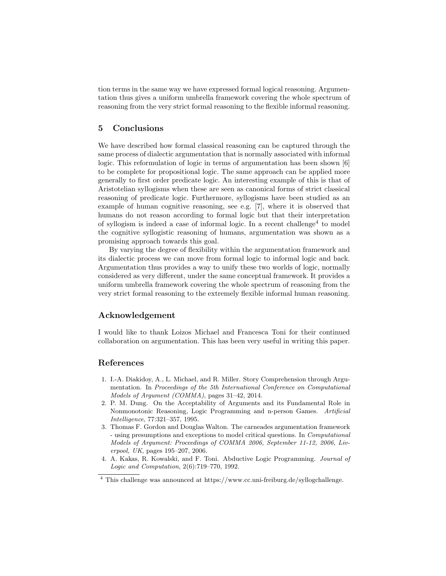tion terms in the same way we have expressed formal logical reasoning. Argumentation thus gives a uniform umbrella framework covering the whole spectrum of reasoning from the very strict formal reasoning to the flexible informal reasoning.

### 5 Conclusions

We have described how formal classical reasoning can be captured through the same process of dialectic argumentation that is normally associated with informal logic. This reformulation of logic in terms of argumentation has been shown [6] to be complete for propositional logic. The same approach can be applied more generally to first order predicate logic. An interesting example of this is that of Aristotelian syllogisms when these are seen as canonical forms of strict classical reasoning of predicate logic. Furthermore, syllogisms have been studied as an example of human cognitive reasoning, see e.g. [7], where it is observed that humans do not reason according to formal logic but that their interpretation of syllogism is indeed a case of informal logic. In a recent challenge<sup>4</sup> to model the cognitive syllogistic reasoning of humans, argumentation was shown as a promising approach towards this goal.

By varying the degree of flexibility within the argumentation framework and its dialectic process we can move from formal logic to informal logic and back. Argumentation thus provides a way to unify these two worlds of logic, normally considered as very different, under the same conceptual framework. It provides a uniform umbrella framework covering the whole spectrum of reasoning from the very strict formal reasoning to the extremely flexible informal human reasoning.

# Acknowledgement

I would like to thank Loizos Michael and Francesca Toni for their continued collaboration on argumentation. This has been very useful in writing this paper.

#### References

- 1. I.-A. Diakidoy, A., L. Michael, and R. Miller. Story Comprehension through Argumentation. In Proceedings of the 5th International Conference on Computational Models of Argument (COMMA), pages 31–42, 2014.
- 2. P. M. Dung. On the Acceptability of Arguments and its Fundamental Role in Nonmonotonic Reasoning, Logic Programming and n-person Games. Artificial Intelligence, 77:321–357, 1995.
- 3. Thomas F. Gordon and Douglas Walton. The carneades argumentation framework - using presumptions and exceptions to model critical questions. In Computational Models of Argument: Proceedings of COMMA 2006, September 11-12, 2006, Liverpool, UK, pages 195–207, 2006.
- 4. A. Kakas, R. Kowalski, and F. Toni. Abductive Logic Programming. Journal of Logic and Computation, 2(6):719–770, 1992.

<sup>4</sup> This challenge was announced at https://www.cc.uni-freiburg.de/syllogchallenge.